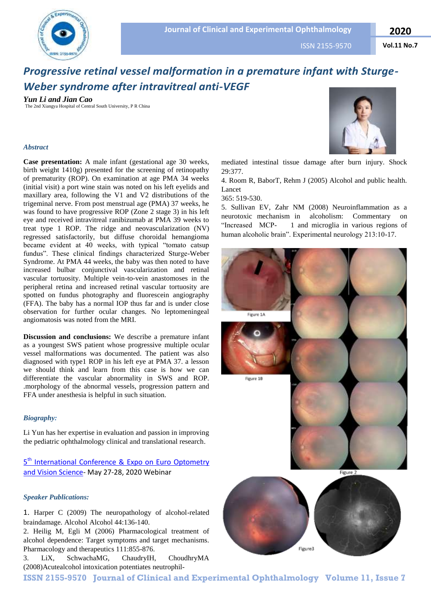

ISSN 2155-9570

# *Progressive retinal vessel malformation in a premature infant with Sturge-Weber syndrome after intravitreal anti-VEGF*

*Yun Li and Jian Cao* The 2nd Xiangya Hospital of Central South University, P R China

### *Abstract*

**Case presentation:** A male infant (gestational age 30 weeks, birth weight 1410g) presented for the screening of retinopathy of prematurity (ROP). On examination at age PMA 34 weeks (initial visit) a port wine stain was noted on his left eyelids and maxillary area, following the V1 and V2 distributions of the trigeminal nerve. From post menstrual age (PMA) 37 weeks, he was found to have progressive ROP (Zone 2 stage 3) in his left eye and received intravitreal ranibizumab at PMA 39 weeks to treat type 1 ROP. The ridge and neovascularization (NV) regressed satisfactorily, but diffuse choroidal hemangioma became evident at 40 weeks, with typical "tomato catsup fundus". These clinical findings characterized Sturge-Weber Syndrome. At PMA 44 weeks, the baby was then noted to have increased bulbar conjunctival vascularization and retinal vascular tortuosity. Multiple vein-to-vein anastomoses in the peripheral retina and increased retinal vascular tortuosity are spotted on fundus photography and fluorescein angiography (FFA). The baby has a normal IOP thus far and is under close observation for further ocular changes. No leptomeningeal angiomatosis was noted from the MRI.

**Discussion and conclusions:** We describe a premature infant as a youngest SWS patient whose progressive multiple ocular vessel malformations was documented. The patient was also diagnosed with type1 ROP in his left eye at PMA 37. a lesson we should think and learn from this case is how we can differentiate the vascular abnormality in SWS and ROP. .morphology of the abnormal vessels, progression pattern and FFA under anesthesia is helpful in such situation.

## *Biography:*

Li Yun has her expertise in evaluation and passion in improving the pediatric ophthalmology clinical and translational research.

# 5<sup>th</sup> International Conference & Expo on Euro Optometry [and Vision Science-](https://eurooptometry.ophthalmologyconferences.com/) May 27-28, 2020 Webinar

#### *Speaker Publications:*

1. Harper C (2009) The neuropathology of alcohol-related braindamage. Alcohol Alcohol 44:136-140.

2. Heilig M, Egli M (2006) Pharmacological treatment of alcohol dependence: Target symptoms and target mechanisms. Pharmacology and therapeutics 111:855-876.

3. LiX, SchwachaMG, ChaudryIH, ChoudhryMA (2008)Acutealcohol intoxication potentiates neutrophil-



mediated intestinal tissue damage after burn injury. Shock 29:377.

4. Room R, BaborT, Rehm J (2005) Alcohol and public health. Lancet

365: 519-530.

5. Sullivan EV, Zahr NM (2008) Neuroinflammation as a neurotoxic mechanism in alcoholism: Commentary on "Increased MCP- 1 and microglia in various regions of human alcoholic brain". Experimental neurology 213:10-17.



**ISSN 2155-9570 Journal of Clinical and Experimental Ophthalmology Volume 11, Issue 7**